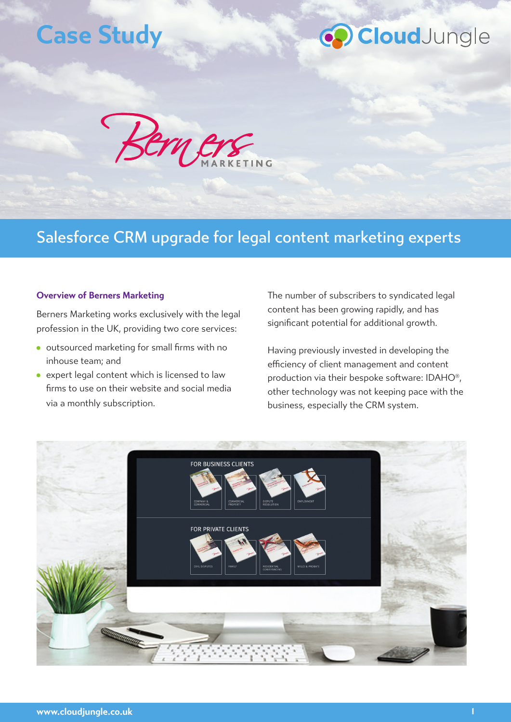### **Case Study**

## CoudJungle



### Salesforce CRM upgrade for legal content marketing experts

#### **Overview of Berners Marketing**

Berners Marketing works exclusively with the legal profession in the UK, providing two core services:

- outsourced marketing for small firms with no inhouse team; and
- expert legal content which is licensed to law firms to use on their website and social media via a monthly subscription.

The number of subscribers to syndicated legal content has been growing rapidly, and has significant potential for additional growth.

Having previously invested in developing the efficiency of client management and content production via their bespoke software: IDAHO®, other technology was not keeping pace with the business, especially the CRM system.

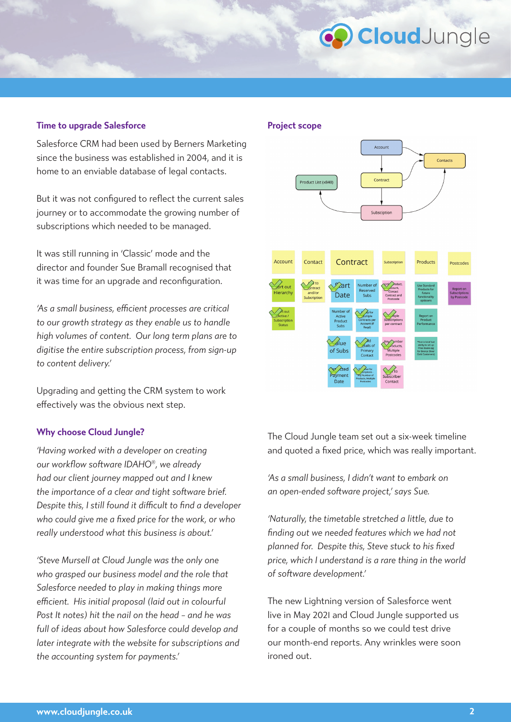# **O** CloudJungle

#### **Time to upgrade Salesforce**

Salesforce CRM had been used by Berners Marketing since the business was established in 2004, and it is home to an enviable database of legal contacts.

But it was not configured to reflect the current sales journey or to accommodate the growing number of subscriptions which needed to be managed.

It was still running in 'Classic' mode and the director and founder Sue Bramall recognised that it was time for an upgrade and reconfiguration.

*'As a small business, efficient processes are critical to our growth strategy as they enable us to handle high volumes of content. Our long term plans are to digitise the entire subscription process, from sign-up to content delivery.'*

Upgrading and getting the CRM system to work effectively was the obvious next step.

#### **Why choose Cloud Jungle?**

*'Having worked with a developer on creating our workflow software IDAHO®, we already had our client journey mapped out and I knew the importance of a clear and tight software brief. Despite this, I still found it difficult to find a developer who could give me a fixed price for the work, or who really understood what this business is about.'*

*'Steve Mursell at Cloud Jungle was the only one who grasped our business model and the role that Salesforce needed to play in making things more efficient. His initial proposal (laid out in colourful Post It notes) hit the nail on the head – and he was full of ideas about how Salesforce could develop and later integrate with the website for subscriptions and the accounting system for payments.'*

#### **Project scope**



The Cloud Jungle team set out a six-week timeline and quoted a fixed price, which was really important.

*'As a small business, I didn't want to embark on an open-ended software project,' says Sue.*

*'Naturally, the timetable stretched a little, due to finding out we needed features which we had not planned for. Despite this, Steve stuck to his fixed price, which I understand is a rare thing in the world of software development.'*

The new Lightning version of Salesforce went live in May 2021 and Cloud Jungle supported us for a couple of months so we could test drive our month-end reports. Any wrinkles were soon ironed out.